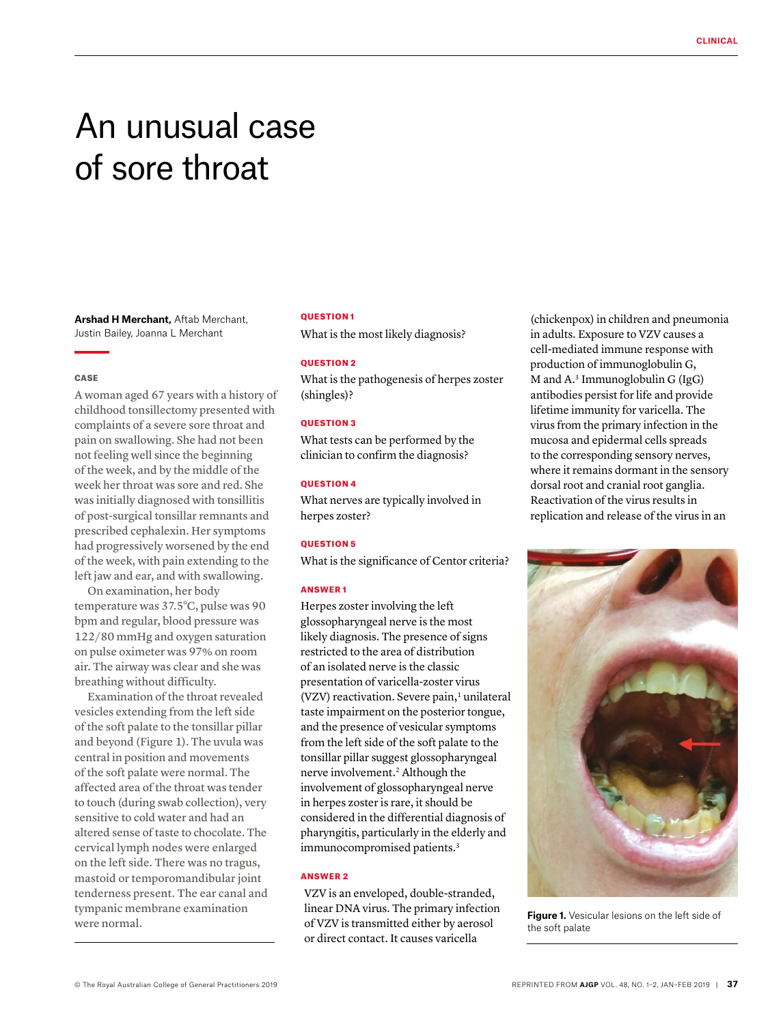# An unusual case of sore throat

**Arshad H Merchant,** Aftab Merchant, Justin Bailey, Joanna L Merchant

## **CASE**

A woman aged 67 years with a history of childhood tonsillectomy presented with complaints of a severe sore throat and pain on swallowing. She had not been not feeling well since the beginning of the week, and by the middle of the week her throat was sore and red. She was initially diagnosed with tonsillitis of post-surgical tonsillar remnants and prescribed cephalexin. Her symptoms had progressively worsened by the end of the week, with pain extending to the left jaw and ear, and with swallowing.

On examination, her body temperature was 37.5°C, pulse was 90 bpm and regular, blood pressure was 122/80 mmHg and oxygen saturation on pulse oximeter was 97% on room air. The airway was clear and she was breathing without difficulty.

Examination of the throat revealed vesicles extending from the left side of the soft palate to the tonsillar pillar and beyond (Figure 1). The uvula was central in position and movements of the soft palate were normal. The affected area of the throat was tender to touch (during swab collection), very sensitive to cold water and had an altered sense of taste to chocolate. The cervical lymph nodes were enlarged on the left side. There was no tragus, mastoid or temporomandibular joint tenderness present. The ear canal and tympanic membrane examination were normal.

## QUESTION 1

What is the most likely diagnosis?

## QUESTION 2

What is the pathogenesis of herpes zoster (shingles)?

### QUESTION 3

What tests can be performed by the clinician to confirm the diagnosis?

## **OUESTION 4**

What nerves are typically involved in herpes zoster?

## QUESTION 5

What is the significance of Centor criteria?

#### ANSWER 1

Herpes zoster involving the left glossopharyngeal nerve is the most likely diagnosis. The presence of signs restricted to the area of distribution of an isolated nerve is the classic presentation of varicella-zoster virus  $(VZV)$  reactivation. Severe pain,<sup>1</sup> unilateral taste impairment on the posterior tongue, and the presence of vesicular symptoms from the left side of the soft palate to the tonsillar pillar suggest glossopharyngeal nerve involvement.2 Although the involvement of glossopharyngeal nerve in herpes zoster is rare, it should be considered in the differential diagnosis of pharyngitis, particularly in the elderly and immunocompromised patients.<sup>3</sup>

#### ANSWER 2

VZV is an enveloped, double-stranded, linear DNA virus. The primary infection of VZV is transmitted either by aerosol or direct contact. It causes varicella

(chickenpox) in children and pneumonia in adults. Exposure to VZV causes a cell-mediated immune response with production of immunoglobulin G, M and  $A^3$  Immunoglobulin G (IgG) antibodies persist for life and provide lifetime immunity for varicella. The virus from the primary infection in the mucosa and epidermal cells spreads to the corresponding sensory nerves, where it remains dormant in the sensory dorsal root and cranial root ganglia. Reactivation of the virus results in replication and release of the virus in an



**Figure 1.** Vesicular lesions on the left side of the soft palate